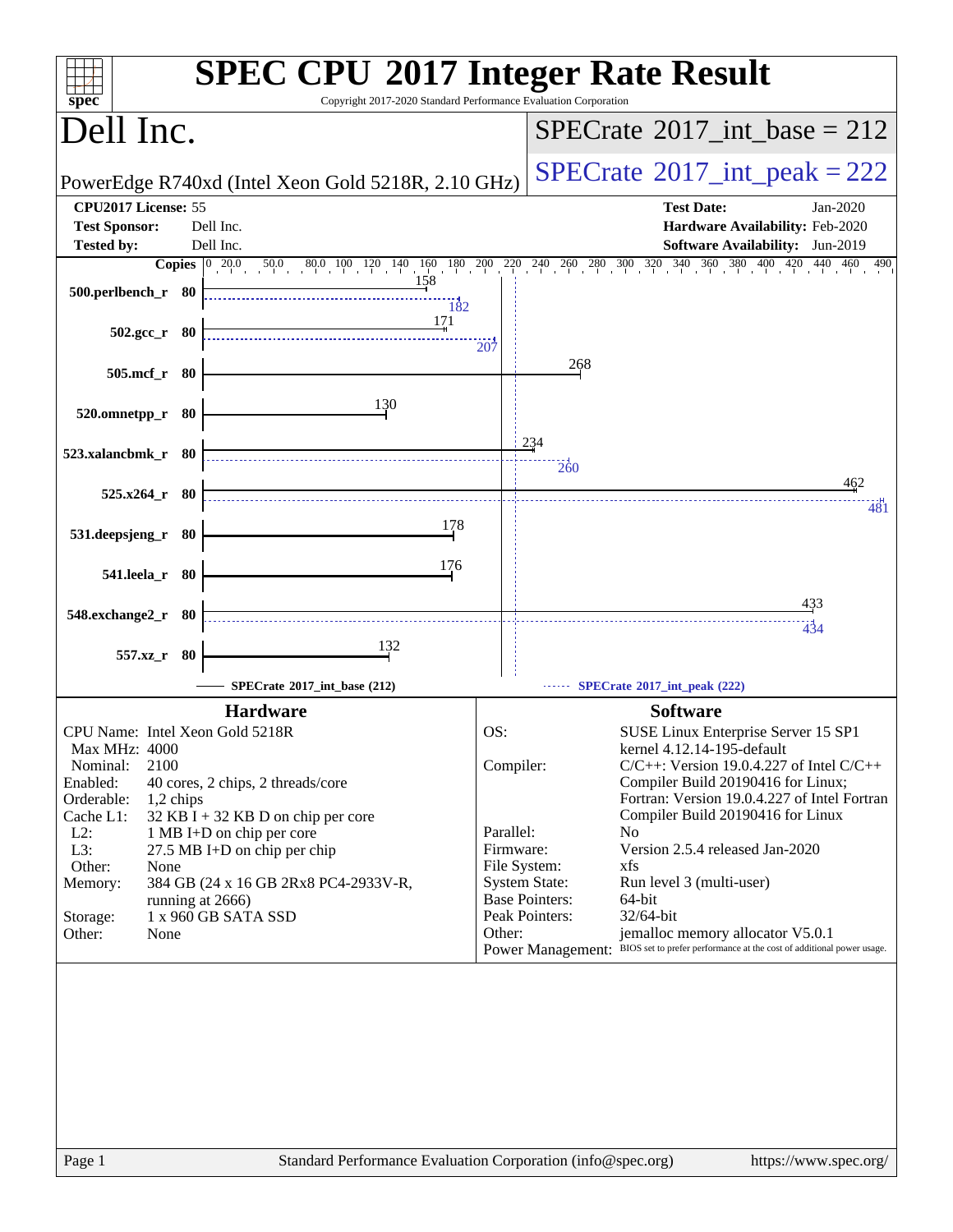| <b>SPEC CPU®2017 Integer Rate Result</b><br>Copyright 2017-2020 Standard Performance Evaluation Corporation<br>$spec^*$ |                                                                                                                        |                 |                                                                                                                             |  |  |  |  |
|-------------------------------------------------------------------------------------------------------------------------|------------------------------------------------------------------------------------------------------------------------|-----------------|-----------------------------------------------------------------------------------------------------------------------------|--|--|--|--|
| Dell Inc.                                                                                                               |                                                                                                                        |                 | $SPECrate^{\circledast}2017$ int base = 212                                                                                 |  |  |  |  |
|                                                                                                                         | PowerEdge R740xd (Intel Xeon Gold 5218R, 2.10 GHz)                                                                     |                 | $SPECTate$ <sup>®</sup> 2017_int_peak = 222                                                                                 |  |  |  |  |
| CPU2017 License: 55<br><b>Test Date:</b><br>Jan-2020                                                                    |                                                                                                                        |                 |                                                                                                                             |  |  |  |  |
| <b>Test Sponsor:</b><br>Dell Inc.<br>Hardware Availability: Feb-2020                                                    |                                                                                                                        |                 |                                                                                                                             |  |  |  |  |
| <b>Tested by:</b>                                                                                                       | Dell Inc.                                                                                                              |                 | Software Availability: Jun-2019                                                                                             |  |  |  |  |
| 500.perlbench_r 80                                                                                                      | <b>Copies</b> $\begin{bmatrix} 0 & 20.0 & 50.0 & 80.0 & 100 & 120 & 140 & 160 & 180 & 200 \end{bmatrix}$<br>158<br>182 | $\frac{220}{1}$ | $240 \quad 260 \quad 280 \quad 300 \quad 320 \quad 340 \quad 360 \quad 380 \quad 400 \quad 420 \quad 440 \quad 460$<br>490  |  |  |  |  |
| $502.\text{gcc}_r$ 80                                                                                                   | 171                                                                                                                    | 207             |                                                                                                                             |  |  |  |  |
| 505.mcf_r 80                                                                                                            |                                                                                                                        |                 | 268                                                                                                                         |  |  |  |  |
| 520.omnetpp_r 80                                                                                                        | 130                                                                                                                    |                 |                                                                                                                             |  |  |  |  |
| 523.xalancbmk_r 80                                                                                                      |                                                                                                                        |                 | 234<br>$\frac{1}{260}$                                                                                                      |  |  |  |  |
| $525.x264$ r 80                                                                                                         |                                                                                                                        |                 | 462                                                                                                                         |  |  |  |  |
|                                                                                                                         |                                                                                                                        |                 | 481                                                                                                                         |  |  |  |  |
| 531.deepsjeng_r 80                                                                                                      | 178                                                                                                                    |                 |                                                                                                                             |  |  |  |  |
| 541.leela_r 80                                                                                                          | 176                                                                                                                    |                 |                                                                                                                             |  |  |  |  |
| 548.exchange2_r 80                                                                                                      |                                                                                                                        |                 | <u>433</u>                                                                                                                  |  |  |  |  |
|                                                                                                                         | 132                                                                                                                    |                 | 434                                                                                                                         |  |  |  |  |
| 557.xz_r 80                                                                                                             |                                                                                                                        |                 |                                                                                                                             |  |  |  |  |
|                                                                                                                         | SPECrate®2017_int_base (212)                                                                                           |                 | SPECrate®2017_int_peak (222)                                                                                                |  |  |  |  |
|                                                                                                                         | <b>Hardware</b>                                                                                                        |                 | <b>Software</b>                                                                                                             |  |  |  |  |
| CPU Name: Intel Xeon Gold 5218R<br>Max MHz: 4000                                                                        |                                                                                                                        | OS:             | SUSE Linux Enterprise Server 15 SP1<br>kernel 4.12.14-195-default                                                           |  |  |  |  |
| 2100<br>Nominal:                                                                                                        |                                                                                                                        | Compiler:       | $C/C++$ : Version 19.0.4.227 of Intel $C/C++$                                                                               |  |  |  |  |
| Enabled:                                                                                                                | 40 cores, 2 chips, 2 threads/core                                                                                      |                 | Compiler Build 20190416 for Linux;                                                                                          |  |  |  |  |
| Orderable:<br>1,2 chips<br>Cache L1:                                                                                    | $32$ KB I + 32 KB D on chip per core                                                                                   |                 | Fortran: Version 19.0.4.227 of Intel Fortran<br>Compiler Build 20190416 for Linux                                           |  |  |  |  |
| $L2$ :                                                                                                                  | 1 MB I+D on chip per core                                                                                              | Parallel:       | N <sub>0</sub>                                                                                                              |  |  |  |  |
| L3:                                                                                                                     | 27.5 MB I+D on chip per chip                                                                                           | Firmware:       | Version 2.5.4 released Jan-2020                                                                                             |  |  |  |  |
| Other:<br>None                                                                                                          |                                                                                                                        | File System:    | xfs                                                                                                                         |  |  |  |  |
| Memory:<br>running at 2666)                                                                                             | 384 GB (24 x 16 GB 2Rx8 PC4-2933V-R,                                                                                   |                 | <b>System State:</b><br>Run level 3 (multi-user)<br><b>Base Pointers:</b><br>64-bit                                         |  |  |  |  |
| Storage:                                                                                                                | 1 x 960 GB SATA SSD                                                                                                    |                 | Peak Pointers:<br>32/64-bit                                                                                                 |  |  |  |  |
| Other:<br>None                                                                                                          |                                                                                                                        | Other:          | jemalloc memory allocator V5.0.1<br>Power Management: BIOS set to prefer performance at the cost of additional power usage. |  |  |  |  |
|                                                                                                                         |                                                                                                                        |                 |                                                                                                                             |  |  |  |  |
|                                                                                                                         |                                                                                                                        |                 |                                                                                                                             |  |  |  |  |
|                                                                                                                         |                                                                                                                        |                 |                                                                                                                             |  |  |  |  |
|                                                                                                                         |                                                                                                                        |                 |                                                                                                                             |  |  |  |  |
|                                                                                                                         |                                                                                                                        |                 |                                                                                                                             |  |  |  |  |
|                                                                                                                         |                                                                                                                        |                 |                                                                                                                             |  |  |  |  |
|                                                                                                                         |                                                                                                                        |                 |                                                                                                                             |  |  |  |  |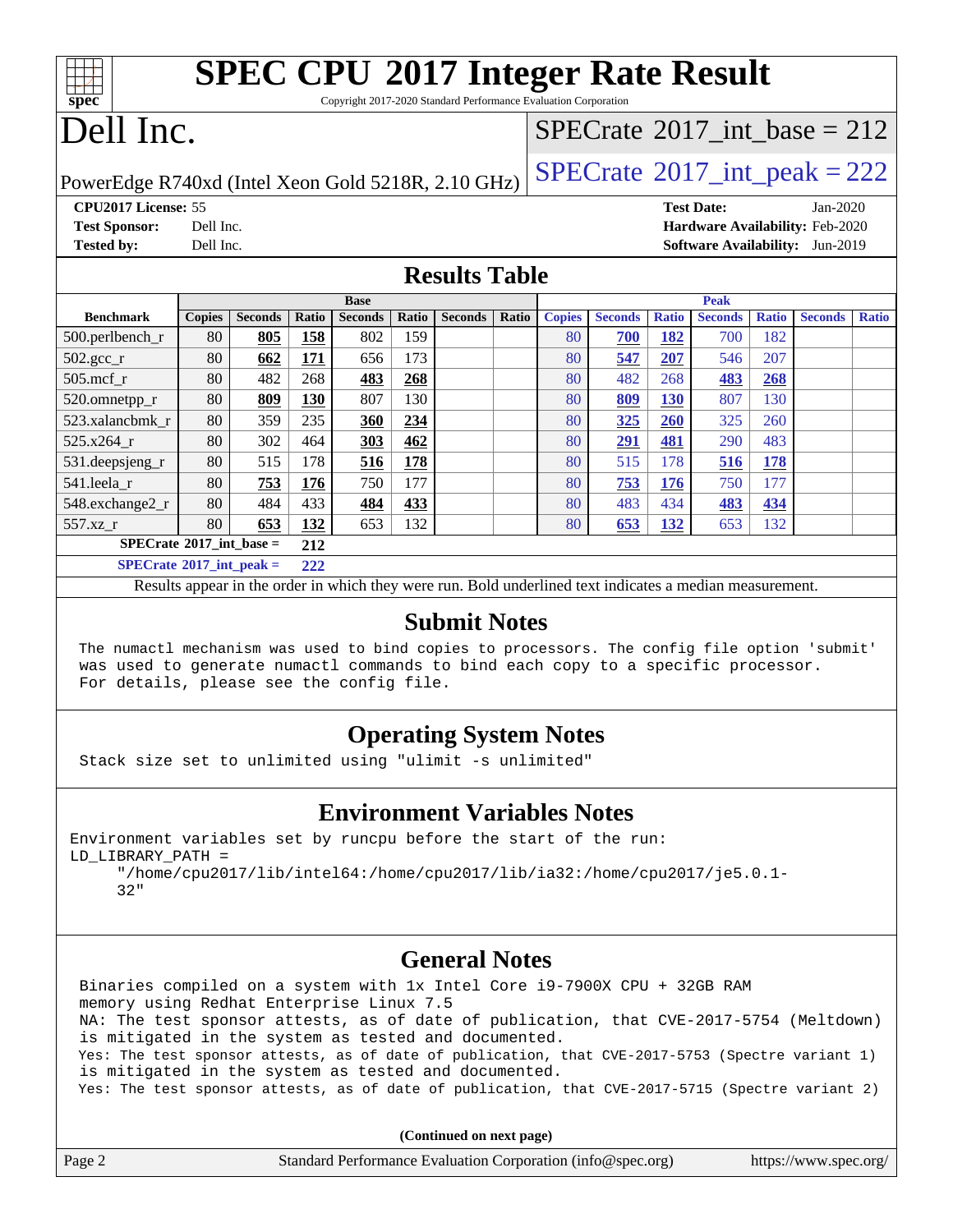| <b>SPEC CPU®2017 Integer Rate Result</b>                        |  |
|-----------------------------------------------------------------|--|
| Copyright 2017-2020 Standard Performance Evaluation Corporation |  |

# Dell Inc.

**[spec](http://www.spec.org/)**

#### $SPECTate$ <sup>®</sup>[2017\\_int\\_base =](http://www.spec.org/auto/cpu2017/Docs/result-fields.html#SPECrate2017intbase) 212

PowerEdge R740xd (Intel Xeon Gold 5218R, 2.10 GHz)  $\left|$  [SPECrate](http://www.spec.org/auto/cpu2017/Docs/result-fields.html#SPECrate2017intpeak)®[2017\\_int\\_peak = 2](http://www.spec.org/auto/cpu2017/Docs/result-fields.html#SPECrate2017intpeak)22

**[CPU2017 License:](http://www.spec.org/auto/cpu2017/Docs/result-fields.html#CPU2017License)** 55 **[Test Date:](http://www.spec.org/auto/cpu2017/Docs/result-fields.html#TestDate)** Jan-2020 **[Test Sponsor:](http://www.spec.org/auto/cpu2017/Docs/result-fields.html#TestSponsor)** Dell Inc. **[Hardware Availability:](http://www.spec.org/auto/cpu2017/Docs/result-fields.html#HardwareAvailability)** Feb-2020 **[Tested by:](http://www.spec.org/auto/cpu2017/Docs/result-fields.html#Testedby)** Dell Inc. **[Software Availability:](http://www.spec.org/auto/cpu2017/Docs/result-fields.html#SoftwareAvailability)** Jun-2019

#### **[Results Table](http://www.spec.org/auto/cpu2017/Docs/result-fields.html#ResultsTable)**

|                                   | <b>Base</b>   |                |       |                | <b>Peak</b> |                |       |               |                |              |                |              |                |              |
|-----------------------------------|---------------|----------------|-------|----------------|-------------|----------------|-------|---------------|----------------|--------------|----------------|--------------|----------------|--------------|
| <b>Benchmark</b>                  | <b>Copies</b> | <b>Seconds</b> | Ratio | <b>Seconds</b> | Ratio       | <b>Seconds</b> | Ratio | <b>Copies</b> | <b>Seconds</b> | <b>Ratio</b> | <b>Seconds</b> | <b>Ratio</b> | <b>Seconds</b> | <b>Ratio</b> |
| 500.perlbench_r                   | 80            | 805            | 158   | 802            | 159         |                |       | 80            | 700            | 182          | 700            | 182          |                |              |
| $502.\text{gcc}$ _r               | 80            | 662            | 171   | 656            | 173         |                |       | 80            | 547            | 207          | 546            | 207          |                |              |
| $505$ .mcf r                      | 80            | 482            | 268   | 483            | 268         |                |       | 80            | 482            | 268          | 483            | 268          |                |              |
| 520.omnetpp_r                     | 80            | 809            | 130   | 807            | 130         |                |       | 80            | 809            | 130          | 807            | 130          |                |              |
| 523.xalancbmk r                   | 80            | 359            | 235   | 360            | 234         |                |       | 80            | 325            | 260          | 325            | 260          |                |              |
| 525.x264 r                        | 80            | 302            | 464   | 303            | 462         |                |       | 80            | 291            | 481          | 290            | 483          |                |              |
| 531.deepsjeng_r                   | 80            | 515            | 178   | 516            | <b>178</b>  |                |       | 80            | 515            | 178          | 516            | <u>178</u>   |                |              |
| 541.leela r                       | 80            | 753            | 176   | 750            | 177         |                |       | 80            | 753            | 176          | 750            | 177          |                |              |
| 548.exchange2_r                   | 80            | 484            | 433   | 484            | 433         |                |       | 80            | 483            | 434          | 483            | 434          |                |              |
| 557.xz r                          | 80            | 653            | 132   | 653            | 132         |                |       | 80            | 653            | 132          | 653            | 132          |                |              |
| $SPECrate^{\circ}2017$ int base = |               |                | 212   |                |             |                |       |               |                |              |                |              |                |              |
| $SPECrate^{\circ}2017$ int peak = |               |                | 222   |                |             |                |       |               |                |              |                |              |                |              |

Results appear in the [order in which they were run](http://www.spec.org/auto/cpu2017/Docs/result-fields.html#RunOrder). Bold underlined text [indicates a median measurement](http://www.spec.org/auto/cpu2017/Docs/result-fields.html#Median).

#### **[Submit Notes](http://www.spec.org/auto/cpu2017/Docs/result-fields.html#SubmitNotes)**

 The numactl mechanism was used to bind copies to processors. The config file option 'submit' was used to generate numactl commands to bind each copy to a specific processor. For details, please see the config file.

#### **[Operating System Notes](http://www.spec.org/auto/cpu2017/Docs/result-fields.html#OperatingSystemNotes)**

Stack size set to unlimited using "ulimit -s unlimited"

#### **[Environment Variables Notes](http://www.spec.org/auto/cpu2017/Docs/result-fields.html#EnvironmentVariablesNotes)**

Environment variables set by runcpu before the start of the run: LD\_LIBRARY\_PATH =

 "/home/cpu2017/lib/intel64:/home/cpu2017/lib/ia32:/home/cpu2017/je5.0.1- 32"

#### **[General Notes](http://www.spec.org/auto/cpu2017/Docs/result-fields.html#GeneralNotes)**

 Binaries compiled on a system with 1x Intel Core i9-7900X CPU + 32GB RAM memory using Redhat Enterprise Linux 7.5 NA: The test sponsor attests, as of date of publication, that CVE-2017-5754 (Meltdown) is mitigated in the system as tested and documented. Yes: The test sponsor attests, as of date of publication, that CVE-2017-5753 (Spectre variant 1) is mitigated in the system as tested and documented. Yes: The test sponsor attests, as of date of publication, that CVE-2017-5715 (Spectre variant 2)

**(Continued on next page)**

| Page 2<br>Standard Performance Evaluation Corporation (info@spec.org) | https://www.spec.org/ |
|-----------------------------------------------------------------------|-----------------------|
|-----------------------------------------------------------------------|-----------------------|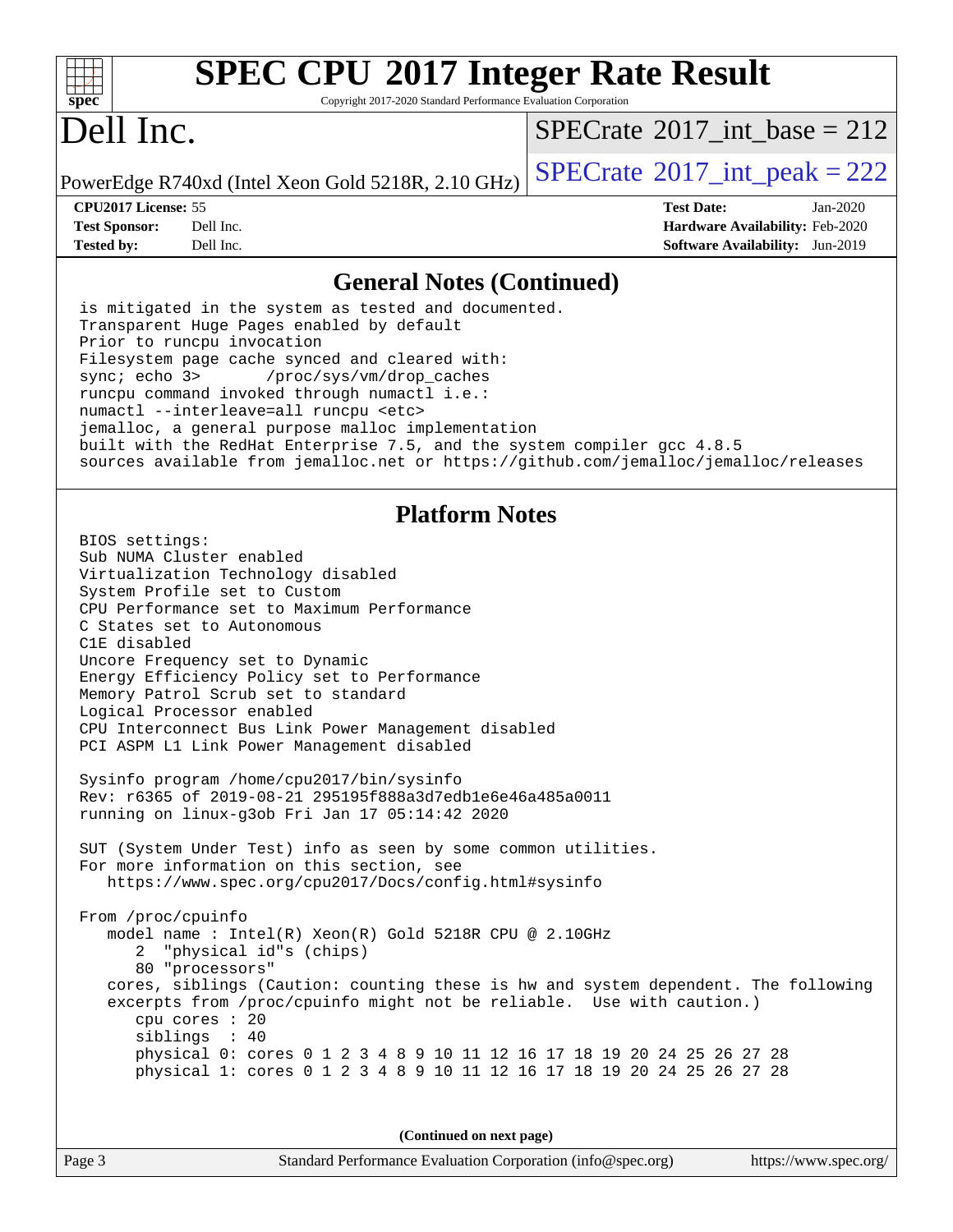| s<br>Jе<br>c<br>c |  |  |  |  |  |
|-------------------|--|--|--|--|--|

# **[SPEC CPU](http://www.spec.org/auto/cpu2017/Docs/result-fields.html#SPECCPU2017IntegerRateResult)[2017 Integer Rate Result](http://www.spec.org/auto/cpu2017/Docs/result-fields.html#SPECCPU2017IntegerRateResult)**

Copyright 2017-2020 Standard Performance Evaluation Corporation

# Dell Inc.

 $SPECrate$ <sup>®</sup>[2017\\_int\\_base =](http://www.spec.org/auto/cpu2017/Docs/result-fields.html#SPECrate2017intbase) 212

PowerEdge R740xd (Intel Xeon Gold 5218R, 2.10 GHz)  $\left|$  [SPECrate](http://www.spec.org/auto/cpu2017/Docs/result-fields.html#SPECrate2017intpeak)<sup>®</sup>[2017\\_int\\_peak = 2](http://www.spec.org/auto/cpu2017/Docs/result-fields.html#SPECrate2017intpeak)22

**[CPU2017 License:](http://www.spec.org/auto/cpu2017/Docs/result-fields.html#CPU2017License)** 55 **[Test Date:](http://www.spec.org/auto/cpu2017/Docs/result-fields.html#TestDate)** Jan-2020 **[Test Sponsor:](http://www.spec.org/auto/cpu2017/Docs/result-fields.html#TestSponsor)** Dell Inc. **[Hardware Availability:](http://www.spec.org/auto/cpu2017/Docs/result-fields.html#HardwareAvailability)** Feb-2020 **[Tested by:](http://www.spec.org/auto/cpu2017/Docs/result-fields.html#Testedby)** Dell Inc. **[Software Availability:](http://www.spec.org/auto/cpu2017/Docs/result-fields.html#SoftwareAvailability)** Jun-2019

#### **[General Notes \(Continued\)](http://www.spec.org/auto/cpu2017/Docs/result-fields.html#GeneralNotes)**

 is mitigated in the system as tested and documented. Transparent Huge Pages enabled by default Prior to runcpu invocation Filesystem page cache synced and cleared with: sync; echo 3> /proc/sys/vm/drop\_caches runcpu command invoked through numactl i.e.: numactl --interleave=all runcpu <etc> jemalloc, a general purpose malloc implementation built with the RedHat Enterprise 7.5, and the system compiler gcc 4.8.5 sources available from jemalloc.net or <https://github.com/jemalloc/jemalloc/releases>

#### **[Platform Notes](http://www.spec.org/auto/cpu2017/Docs/result-fields.html#PlatformNotes)**

 BIOS settings: Sub NUMA Cluster enabled Virtualization Technology disabled System Profile set to Custom CPU Performance set to Maximum Performance C States set to Autonomous C1E disabled Uncore Frequency set to Dynamic Energy Efficiency Policy set to Performance Memory Patrol Scrub set to standard Logical Processor enabled CPU Interconnect Bus Link Power Management disabled PCI ASPM L1 Link Power Management disabled

 Sysinfo program /home/cpu2017/bin/sysinfo Rev: r6365 of 2019-08-21 295195f888a3d7edb1e6e46a485a0011 running on linux-g3ob Fri Jan 17 05:14:42 2020

 SUT (System Under Test) info as seen by some common utilities. For more information on this section, see <https://www.spec.org/cpu2017/Docs/config.html#sysinfo>

 From /proc/cpuinfo model name : Intel(R) Xeon(R) Gold 5218R CPU @ 2.10GHz 2 "physical id"s (chips) 80 "processors" cores, siblings (Caution: counting these is hw and system dependent. The following excerpts from /proc/cpuinfo might not be reliable. Use with caution.) cpu cores : 20 siblings : 40 physical 0: cores 0 1 2 3 4 8 9 10 11 12 16 17 18 19 20 24 25 26 27 28 physical 1: cores 0 1 2 3 4 8 9 10 11 12 16 17 18 19 20 24 25 26 27 28

**(Continued on next page)**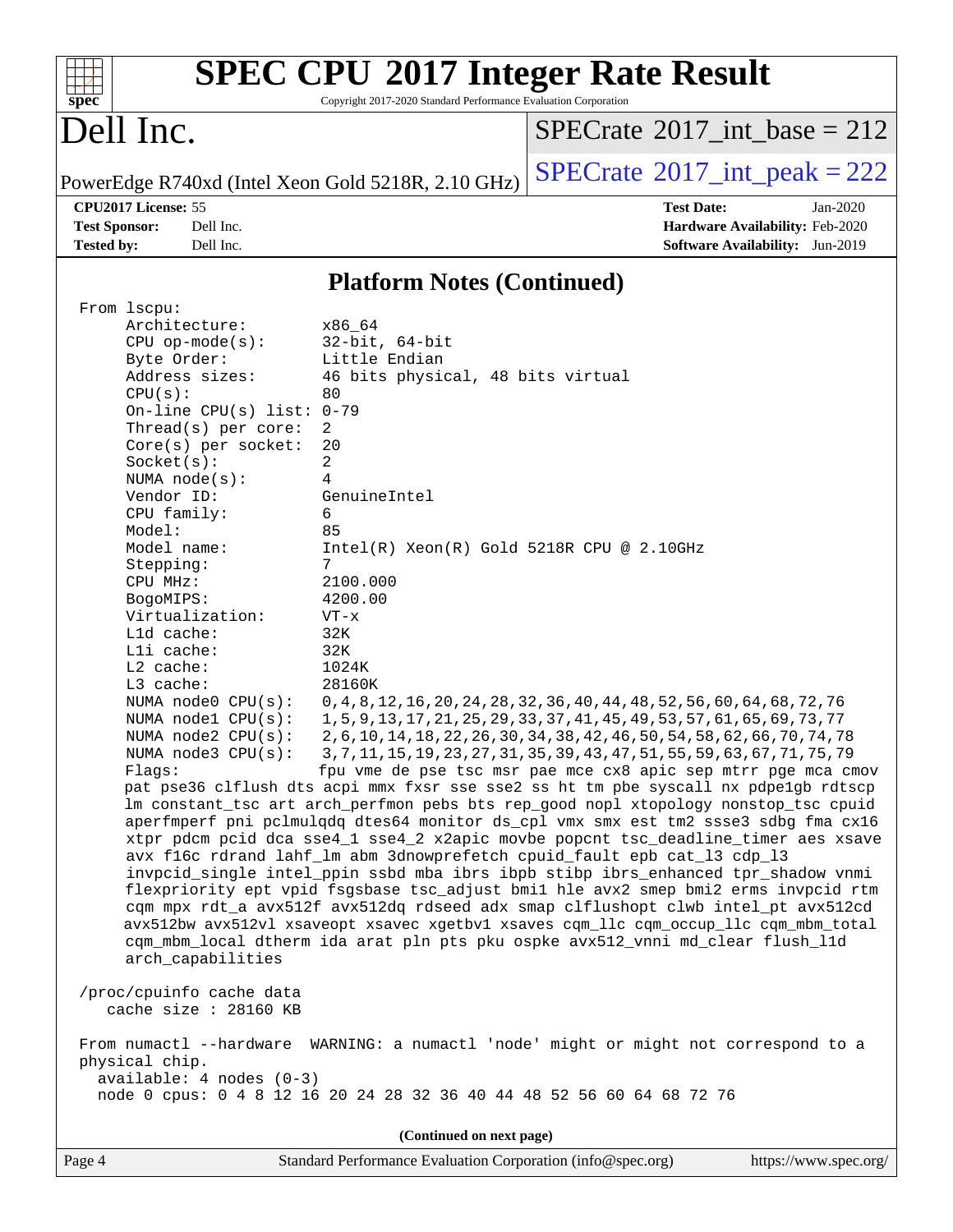| $spec^*$                                                                                                                                                                                                                                                                                                                                                                                                                                                                                                                                                                                                                                                                                                                                                               | Copyright 2017-2020 Standard Performance Evaluation Corporation                                                                                                                                                                                                    | <b>SPEC CPU®2017 Integer Rate Result</b>                                                                                                                                                                                                                                                                                                                                                                                                                                                                                                                                                                                                                                                                                                                                                                                                                                                                                                                                                                                                                                                                                                                                                                                                                                |                                                                                |
|------------------------------------------------------------------------------------------------------------------------------------------------------------------------------------------------------------------------------------------------------------------------------------------------------------------------------------------------------------------------------------------------------------------------------------------------------------------------------------------------------------------------------------------------------------------------------------------------------------------------------------------------------------------------------------------------------------------------------------------------------------------------|--------------------------------------------------------------------------------------------------------------------------------------------------------------------------------------------------------------------------------------------------------------------|-------------------------------------------------------------------------------------------------------------------------------------------------------------------------------------------------------------------------------------------------------------------------------------------------------------------------------------------------------------------------------------------------------------------------------------------------------------------------------------------------------------------------------------------------------------------------------------------------------------------------------------------------------------------------------------------------------------------------------------------------------------------------------------------------------------------------------------------------------------------------------------------------------------------------------------------------------------------------------------------------------------------------------------------------------------------------------------------------------------------------------------------------------------------------------------------------------------------------------------------------------------------------|--------------------------------------------------------------------------------|
| Dell Inc.                                                                                                                                                                                                                                                                                                                                                                                                                                                                                                                                                                                                                                                                                                                                                              |                                                                                                                                                                                                                                                                    | $SPECrate^{\circledast}2017$ int base = 212                                                                                                                                                                                                                                                                                                                                                                                                                                                                                                                                                                                                                                                                                                                                                                                                                                                                                                                                                                                                                                                                                                                                                                                                                             |                                                                                |
| PowerEdge R740xd (Intel Xeon Gold 5218R, 2.10 GHz)                                                                                                                                                                                                                                                                                                                                                                                                                                                                                                                                                                                                                                                                                                                     |                                                                                                                                                                                                                                                                    | $SPECrate^{\circ}2017\_int\_peak = 222$                                                                                                                                                                                                                                                                                                                                                                                                                                                                                                                                                                                                                                                                                                                                                                                                                                                                                                                                                                                                                                                                                                                                                                                                                                 |                                                                                |
| CPU2017 License: 55<br><b>Test Sponsor:</b><br>Dell Inc.<br><b>Tested by:</b><br>Dell Inc.                                                                                                                                                                                                                                                                                                                                                                                                                                                                                                                                                                                                                                                                             |                                                                                                                                                                                                                                                                    | <b>Test Date:</b>                                                                                                                                                                                                                                                                                                                                                                                                                                                                                                                                                                                                                                                                                                                                                                                                                                                                                                                                                                                                                                                                                                                                                                                                                                                       | Jan-2020<br>Hardware Availability: Feb-2020<br>Software Availability: Jun-2019 |
|                                                                                                                                                                                                                                                                                                                                                                                                                                                                                                                                                                                                                                                                                                                                                                        | <b>Platform Notes (Continued)</b>                                                                                                                                                                                                                                  |                                                                                                                                                                                                                                                                                                                                                                                                                                                                                                                                                                                                                                                                                                                                                                                                                                                                                                                                                                                                                                                                                                                                                                                                                                                                         |                                                                                |
| From lscpu:<br>Architecture:<br>$CPU$ op-mode( $s$ ):<br>Byte Order:<br>Address sizes:<br>CPU(s):<br>On-line CPU(s) list: $0-79$<br>Thread( $s$ ) per core:<br>Core(s) per socket:<br>Socket(s):<br>NUMA $node(s)$ :<br>Vendor ID:<br>CPU family:<br>Model:<br>Model name:<br>Stepping:<br>CPU MHz:<br>BogoMIPS:<br>Virtualization:<br>L1d cache:<br>Lli cache:<br>L2 cache:<br>$L3$ cache:<br>NUMA node0 CPU(s):<br>NUMA nodel CPU(s):<br>NUMA $node2$ $CPU(s):$<br>Flaqs:<br>arch_capabilities<br>/proc/cpuinfo cache data<br>cache size : 28160 KB<br>From numactl --hardware WARNING: a numactl 'node' might or might not correspond to a<br>physical chip.<br>$available: 4 nodes (0-3)$<br>node 0 cpus: 0 4 8 12 16 20 24 28 32 36 40 44 48 52 56 60 64 68 72 76 | x86 64<br>$32$ -bit, $64$ -bit<br>Little Endian<br>46 bits physical, 48 bits virtual<br>80<br>2<br>20<br>2<br>4<br>GenuineIntel<br>6<br>85<br>$Intel(R) Xeon(R) Gold 5218R CPU @ 2.10GHz$<br>7<br>2100.000<br>4200.00<br>$VT - x$<br>32K<br>32K<br>1024K<br>28160K | 0, 4, 8, 12, 16, 20, 24, 28, 32, 36, 40, 44, 48, 52, 56, 60, 64, 68, 72, 76<br>1, 5, 9, 13, 17, 21, 25, 29, 33, 37, 41, 45, 49, 53, 57, 61, 65, 69, 73, 77<br>2, 6, 10, 14, 18, 22, 26, 30, 34, 38, 42, 46, 50, 54, 58, 62, 66, 70, 74, 78<br>NUMA node3 CPU(s): 3,7,11,15,19,23,27,31,35,39,43,47,51,55,59,63,67,71,75,79<br>fpu vme de pse tsc msr pae mce cx8 apic sep mtrr pge mca cmov<br>pat pse36 clflush dts acpi mmx fxsr sse sse2 ss ht tm pbe syscall nx pdpe1gb rdtscp<br>lm constant_tsc art arch_perfmon pebs bts rep_good nopl xtopology nonstop_tsc cpuid<br>aperfmperf pni pclmulqdq dtes64 monitor ds_cpl vmx smx est tm2 ssse3 sdbg fma cx16<br>xtpr pdcm pcid dca sse4_1 sse4_2 x2apic movbe popcnt tsc_deadline_timer aes xsave<br>avx f16c rdrand lahf_lm abm 3dnowprefetch cpuid_fault epb cat_13 cdp_13<br>invpcid_single intel_ppin ssbd mba ibrs ibpb stibp ibrs_enhanced tpr_shadow vnmi<br>flexpriority ept vpid fsgsbase tsc_adjust bmil hle avx2 smep bmi2 erms invpcid rtm<br>cqm mpx rdt_a avx512f avx512dq rdseed adx smap clflushopt clwb intel_pt avx512cd<br>avx512bw avx512vl xsaveopt xsavec xgetbv1 xsaves cqm_llc cqm_occup_llc cqm_mbm_total<br>cqm_mbm_local dtherm ida arat pln pts pku ospke avx512_vnni md_clear flush_l1d |                                                                                |
|                                                                                                                                                                                                                                                                                                                                                                                                                                                                                                                                                                                                                                                                                                                                                                        | (Continued on next page)                                                                                                                                                                                                                                           |                                                                                                                                                                                                                                                                                                                                                                                                                                                                                                                                                                                                                                                                                                                                                                                                                                                                                                                                                                                                                                                                                                                                                                                                                                                                         |                                                                                |
| Page 4                                                                                                                                                                                                                                                                                                                                                                                                                                                                                                                                                                                                                                                                                                                                                                 | Standard Performance Evaluation Corporation (info@spec.org)                                                                                                                                                                                                        |                                                                                                                                                                                                                                                                                                                                                                                                                                                                                                                                                                                                                                                                                                                                                                                                                                                                                                                                                                                                                                                                                                                                                                                                                                                                         | https://www.spec.org/                                                          |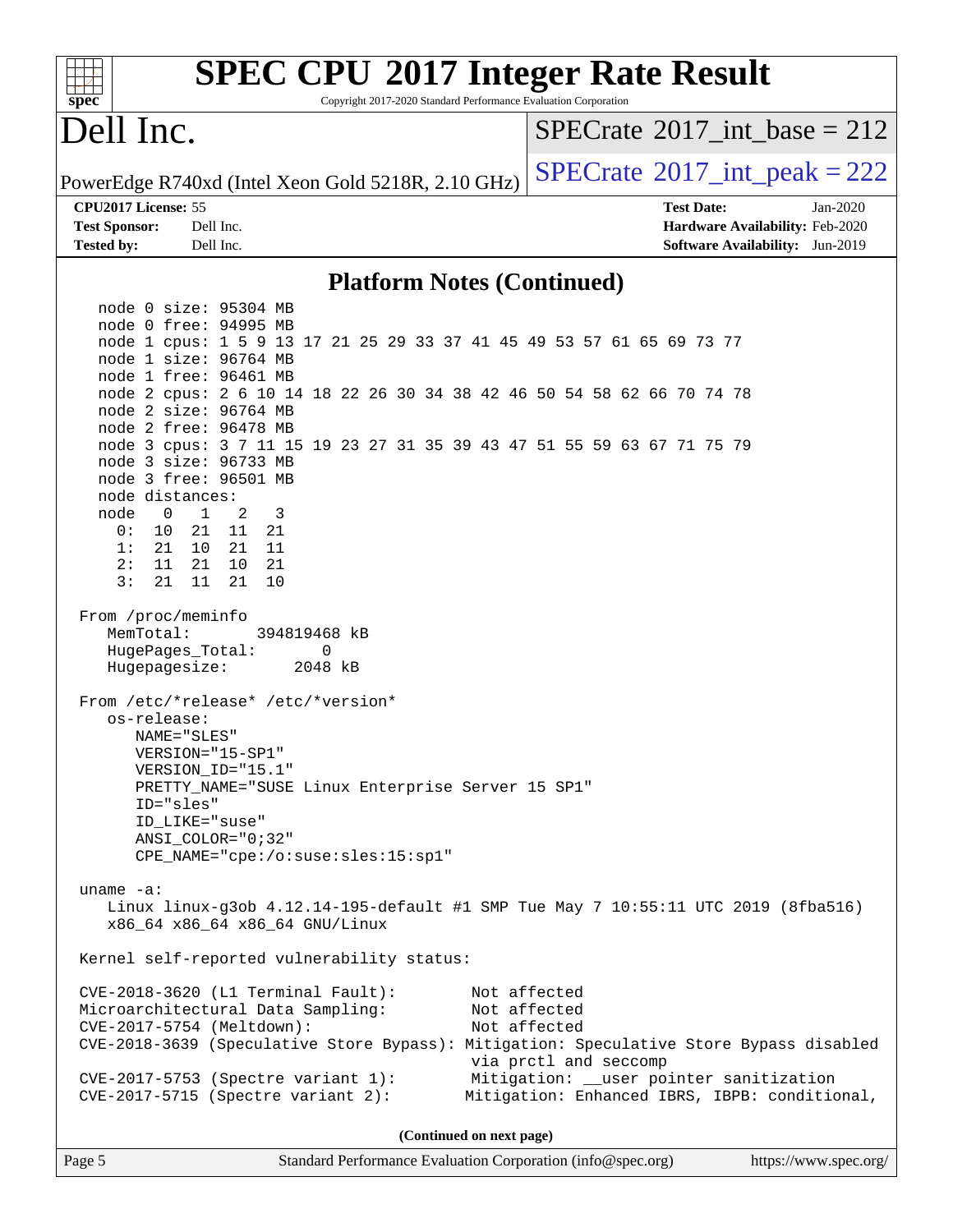| <b>SPEC CPU®2017 Integer Rate Result</b><br>Copyright 2017-2020 Standard Performance Evaluation Corporation<br>spec <sup>®</sup>                                                                                                                                                                                                                                                       |                                               |  |  |  |  |  |  |
|----------------------------------------------------------------------------------------------------------------------------------------------------------------------------------------------------------------------------------------------------------------------------------------------------------------------------------------------------------------------------------------|-----------------------------------------------|--|--|--|--|--|--|
| Dell Inc.                                                                                                                                                                                                                                                                                                                                                                              | $SPECTate$ <sup>®</sup> 2017_int_base = 212   |  |  |  |  |  |  |
| PowerEdge R740xd (Intel Xeon Gold 5218R, 2.10 GHz)                                                                                                                                                                                                                                                                                                                                     | $SPECrate^{\circ}2017\_int\_peak = 222$       |  |  |  |  |  |  |
| CPU2017 License: 55                                                                                                                                                                                                                                                                                                                                                                    | <b>Test Date:</b><br>Jan-2020                 |  |  |  |  |  |  |
| <b>Test Sponsor:</b><br>Dell Inc.                                                                                                                                                                                                                                                                                                                                                      | Hardware Availability: Feb-2020               |  |  |  |  |  |  |
| Dell Inc.<br><b>Tested by:</b>                                                                                                                                                                                                                                                                                                                                                         | Software Availability: Jun-2019               |  |  |  |  |  |  |
| <b>Platform Notes (Continued)</b>                                                                                                                                                                                                                                                                                                                                                      |                                               |  |  |  |  |  |  |
| node 0 size: 95304 MB                                                                                                                                                                                                                                                                                                                                                                  |                                               |  |  |  |  |  |  |
| node 0 free: 94995 MB                                                                                                                                                                                                                                                                                                                                                                  |                                               |  |  |  |  |  |  |
| node 1 cpus: 1 5 9 13 17 21 25 29 33 37 41 45 49 53 57 61 65 69 73 77                                                                                                                                                                                                                                                                                                                  |                                               |  |  |  |  |  |  |
| node 1 size: 96764 MB<br>node 1 free: 96461 MB                                                                                                                                                                                                                                                                                                                                         |                                               |  |  |  |  |  |  |
| node 2 cpus: 2 6 10 14 18 22 26 30 34 38 42 46 50 54 58 62 66 70 74 78                                                                                                                                                                                                                                                                                                                 |                                               |  |  |  |  |  |  |
| node 2 size: 96764 MB                                                                                                                                                                                                                                                                                                                                                                  |                                               |  |  |  |  |  |  |
| node 2 free: 96478 MB                                                                                                                                                                                                                                                                                                                                                                  |                                               |  |  |  |  |  |  |
| node 3 cpus: 3 7 11 15 19 23 27 31 35 39 43 47 51 55 59 63 67 71 75 79<br>node 3 size: 96733 MB                                                                                                                                                                                                                                                                                        |                                               |  |  |  |  |  |  |
| node 3 free: 96501 MB                                                                                                                                                                                                                                                                                                                                                                  |                                               |  |  |  |  |  |  |
| node distances:                                                                                                                                                                                                                                                                                                                                                                        |                                               |  |  |  |  |  |  |
| $\overline{0}$<br>1<br>2<br>3<br>node                                                                                                                                                                                                                                                                                                                                                  |                                               |  |  |  |  |  |  |
| 0:<br>10<br>21<br>11<br>21<br>1:<br>21<br>10 21<br>11                                                                                                                                                                                                                                                                                                                                  |                                               |  |  |  |  |  |  |
| 2:<br>11<br>21<br>21<br>10                                                                                                                                                                                                                                                                                                                                                             |                                               |  |  |  |  |  |  |
| 3:<br>11<br>10<br>21<br>21                                                                                                                                                                                                                                                                                                                                                             |                                               |  |  |  |  |  |  |
| From /proc/meminfo<br>MemTotal:<br>394819468 kB<br>HugePages_Total:<br>0<br>Hugepagesize:<br>2048 kB<br>From /etc/*release* /etc/*version*<br>os-release:<br>NAME="SLES"<br>VERSION="15-SP1"<br>VERSION_ID="15.1"<br>PRETTY_NAME="SUSE Linux Enterprise Server 15 SP1"<br>ID="sles"<br>ID_LIKE="suse"<br>$ANSI\_COLOR = "0; 32"$<br>CPE_NAME="cpe:/o:suse:sles:15:sp1"<br>uname $-a$ : |                                               |  |  |  |  |  |  |
| Linux linux-g3ob 4.12.14-195-default #1 SMP Tue May 7 10:55:11 UTC 2019 (8fba516)<br>x86_64 x86_64 x86_64 GNU/Linux<br>Kernel self-reported vulnerability status:                                                                                                                                                                                                                      |                                               |  |  |  |  |  |  |
|                                                                                                                                                                                                                                                                                                                                                                                        |                                               |  |  |  |  |  |  |
| $CVE-2018-3620$ (L1 Terminal Fault):<br>Microarchitectural Data Sampling:                                                                                                                                                                                                                                                                                                              | Not affected<br>Not affected                  |  |  |  |  |  |  |
| CVE-2017-5754 (Meltdown):                                                                                                                                                                                                                                                                                                                                                              | Not affected                                  |  |  |  |  |  |  |
| CVE-2018-3639 (Speculative Store Bypass): Mitigation: Speculative Store Bypass disabled                                                                                                                                                                                                                                                                                                | via prctl and seccomp                         |  |  |  |  |  |  |
| CVE-2017-5753 (Spectre variant 1):                                                                                                                                                                                                                                                                                                                                                     | Mitigation: __user pointer sanitization       |  |  |  |  |  |  |
| $CVE-2017-5715$ (Spectre variant 2):                                                                                                                                                                                                                                                                                                                                                   | Mitigation: Enhanced IBRS, IBPB: conditional, |  |  |  |  |  |  |
| (Continued on next page)                                                                                                                                                                                                                                                                                                                                                               |                                               |  |  |  |  |  |  |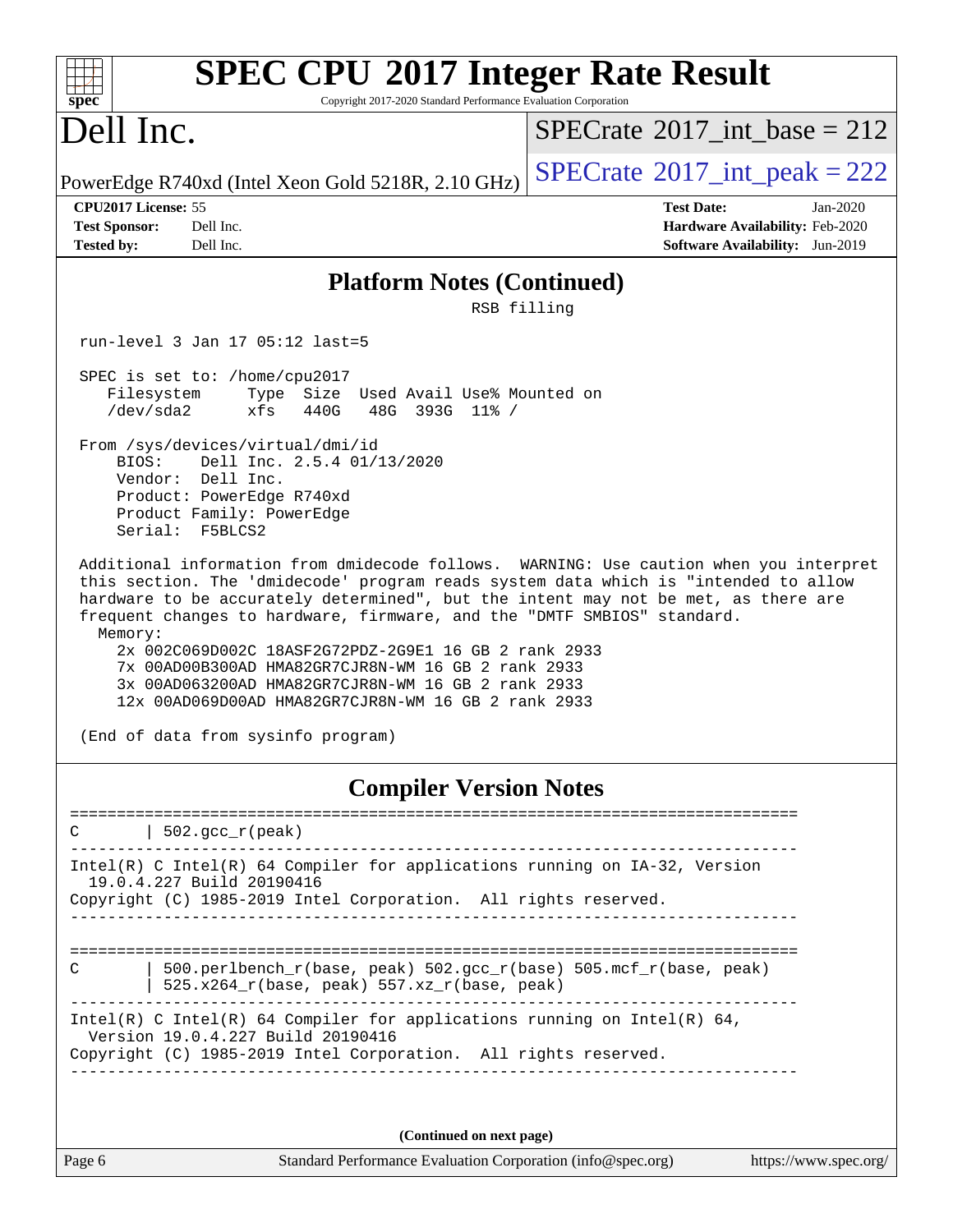| <b>SPEC CPU®2017 Integer Rate Result</b>                                                                                                                                                                                                                                                                                                                  |                                             |  |  |  |  |  |
|-----------------------------------------------------------------------------------------------------------------------------------------------------------------------------------------------------------------------------------------------------------------------------------------------------------------------------------------------------------|---------------------------------------------|--|--|--|--|--|
| Copyright 2017-2020 Standard Performance Evaluation Corporation<br>spec <sup>®</sup>                                                                                                                                                                                                                                                                      |                                             |  |  |  |  |  |
| Dell Inc.                                                                                                                                                                                                                                                                                                                                                 | $SPECTate$ <sup>®</sup> 2017_int_base = 212 |  |  |  |  |  |
| PowerEdge R740xd (Intel Xeon Gold 5218R, 2.10 GHz)                                                                                                                                                                                                                                                                                                        | $SPECTate$ <sup>®</sup> 2017_int_peak = 222 |  |  |  |  |  |
| CPU2017 License: 55                                                                                                                                                                                                                                                                                                                                       | <b>Test Date:</b><br>$Jan-2020$             |  |  |  |  |  |
| Dell Inc.<br><b>Test Sponsor:</b>                                                                                                                                                                                                                                                                                                                         | Hardware Availability: Feb-2020             |  |  |  |  |  |
| <b>Tested by:</b><br>Dell Inc.                                                                                                                                                                                                                                                                                                                            | Software Availability: Jun-2019             |  |  |  |  |  |
| <b>Platform Notes (Continued)</b>                                                                                                                                                                                                                                                                                                                         |                                             |  |  |  |  |  |
| RSB filling                                                                                                                                                                                                                                                                                                                                               |                                             |  |  |  |  |  |
| run-level 3 Jan 17 05:12 last=5                                                                                                                                                                                                                                                                                                                           |                                             |  |  |  |  |  |
| SPEC is set to: /home/cpu2017<br>Filesystem<br>Type Size Used Avail Use% Mounted on<br>/dev/sda2<br>xfs<br>440G<br>48G 393G 11% /                                                                                                                                                                                                                         |                                             |  |  |  |  |  |
| From /sys/devices/virtual/dmi/id<br>Dell Inc. 2.5.4 01/13/2020<br>BTOS:<br>Vendor: Dell Inc.<br>Product: PowerEdge R740xd<br>Product Family: PowerEdge<br>Serial: F5BLCS2                                                                                                                                                                                 |                                             |  |  |  |  |  |
| Additional information from dmidecode follows. WARNING: Use caution when you interpret<br>this section. The 'dmidecode' program reads system data which is "intended to allow<br>hardware to be accurately determined", but the intent may not be met, as there are<br>frequent changes to hardware, firmware, and the "DMTF SMBIOS" standard.<br>Memory: |                                             |  |  |  |  |  |
| 2x 002C069D002C 18ASF2G72PDZ-2G9E1 16 GB 2 rank 2933<br>7x 00AD00B300AD HMA82GR7CJR8N-WM 16 GB 2 rank 2933                                                                                                                                                                                                                                                |                                             |  |  |  |  |  |
| 3x 00AD063200AD HMA82GR7CJR8N-WM 16 GB 2 rank 2933<br>12x 00AD069D00AD HMA82GR7CJR8N-WM 16 GB 2 rank 2933                                                                                                                                                                                                                                                 |                                             |  |  |  |  |  |
| (End of data from sysinfo program)                                                                                                                                                                                                                                                                                                                        |                                             |  |  |  |  |  |
| <b>Compiler Version Notes</b>                                                                                                                                                                                                                                                                                                                             |                                             |  |  |  |  |  |

| $\vert$ 502.gcc_r(peak)<br>C                                                                                                                                                     |  |  |  |  |  |
|----------------------------------------------------------------------------------------------------------------------------------------------------------------------------------|--|--|--|--|--|
| Intel(R) C Intel(R) 64 Compiler for applications running on $IA-32$ , Version<br>19.0.4.227 Build 20190416<br>Copyright (C) 1985-2019 Intel Corporation. All rights reserved.    |  |  |  |  |  |
|                                                                                                                                                                                  |  |  |  |  |  |
| 500.perlbench $r(base, peak)$ 502.gcc $r(base)$ 505.mcf $r(base, peak)$<br>C<br>$525.x264$ r(base, peak) $557.xz$ r(base, peak)                                                  |  |  |  |  |  |
| Intel(R) C Intel(R) 64 Compiler for applications running on Intel(R) 64,<br>Version 19.0.4.227 Build 20190416<br>Copyright (C) 1985-2019 Intel Corporation. All rights reserved. |  |  |  |  |  |
| $\alpha$ $\beta$ $\alpha$                                                                                                                                                        |  |  |  |  |  |

**(Continued on next page)**

Page 6 Standard Performance Evaluation Corporation [\(info@spec.org\)](mailto:info@spec.org) <https://www.spec.org/>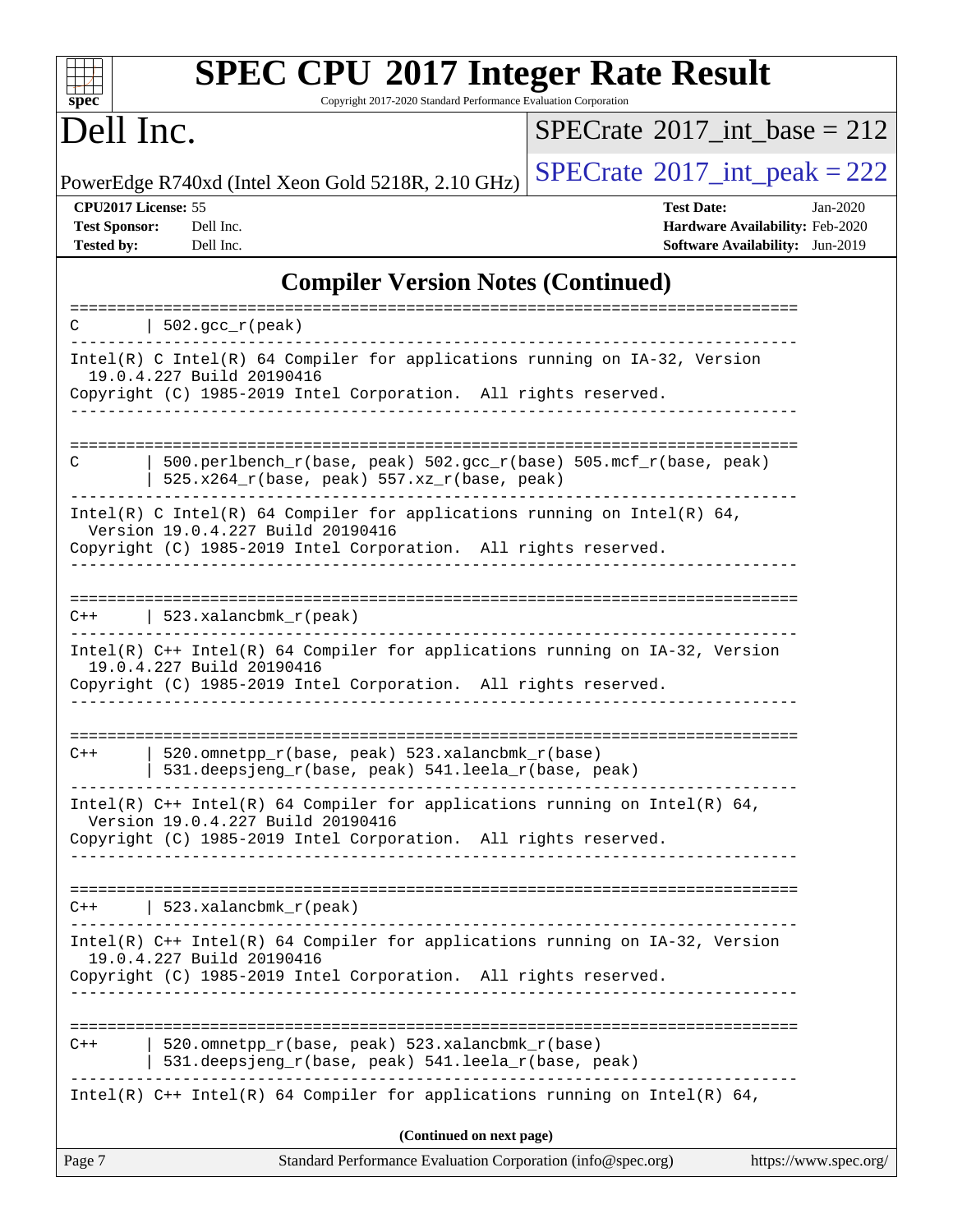| <b>SPEC CPU®2017 Integer Rate Result</b><br>Copyright 2017-2020 Standard Performance Evaluation Corporation<br>$spec^*$                                                              |                                                                                                     |
|--------------------------------------------------------------------------------------------------------------------------------------------------------------------------------------|-----------------------------------------------------------------------------------------------------|
| Dell Inc.                                                                                                                                                                            | $SPECrate^{\circ}2017\_int\_base = 212$                                                             |
| PowerEdge R740xd (Intel Xeon Gold 5218R, 2.10 GHz)                                                                                                                                   | $SPECTate$ <sup>®</sup> 2017_int_peak = 222                                                         |
| CPU2017 License: 55<br><b>Test Sponsor:</b><br>Dell Inc.<br><b>Tested by:</b><br>Dell Inc.                                                                                           | <b>Test Date:</b><br>Jan-2020<br>Hardware Availability: Feb-2020<br>Software Availability: Jun-2019 |
| <b>Compiler Version Notes (Continued)</b>                                                                                                                                            |                                                                                                     |
| =====================<br>$\vert$ 502.gcc_r(peak)<br>C                                                                                                                                |                                                                                                     |
| $Intel(R)$ C Intel(R) 64 Compiler for applications running on $IA-32$ , Version<br>19.0.4.227 Build 20190416<br>Copyright (C) 1985-2019 Intel Corporation. All rights reserved.      |                                                                                                     |
| 500.perlbench_r(base, peak) 502.gcc_r(base) 505.mcf_r(base, peak)<br>C<br>$525.x264_r(base, peak) 557.xz_r(base, peak)$                                                              |                                                                                                     |
| Intel(R) C Intel(R) 64 Compiler for applications running on Intel(R) 64,<br>Version 19.0.4.227 Build 20190416<br>Copyright (C) 1985-2019 Intel Corporation. All rights reserved.     |                                                                                                     |
| 523.xalancbmk r(peak)<br>C++<br>Intel(R) C++ Intel(R) 64 Compiler for applications running on IA-32, Version                                                                         |                                                                                                     |
| 19.0.4.227 Build 20190416<br>Copyright (C) 1985-2019 Intel Corporation. All rights reserved.                                                                                         |                                                                                                     |
| 520.omnetpp_r(base, peak) 523.xalancbmk_r(base)<br>$C++$<br>531.deepsjeng_r(base, peak) 541.leela_r(base, peak)                                                                      |                                                                                                     |
| Intel(R) $C++$ Intel(R) 64 Compiler for applications running on Intel(R) 64,<br>Version 19.0.4.227 Build 20190416<br>Copyright (C) 1985-2019 Intel Corporation. All rights reserved. |                                                                                                     |
| 523.xalancbmk_r(peak)<br>C++<br>------------------------                                                                                                                             |                                                                                                     |
| Intel(R) C++ Intel(R) 64 Compiler for applications running on IA-32, Version<br>19.0.4.227 Build 20190416<br>Copyright (C) 1985-2019 Intel Corporation. All rights reserved.         |                                                                                                     |
| 520.omnetpp_r(base, peak) 523.xalancbmk_r(base)<br>$C++$<br>531.deepsjeng_r(base, peak) 541.leela_r(base, peak)                                                                      |                                                                                                     |
| Intel(R) $C++$ Intel(R) 64 Compiler for applications running on Intel(R) 64,                                                                                                         |                                                                                                     |
| (Continued on next page)                                                                                                                                                             |                                                                                                     |
| Page 7<br>Standard Performance Evaluation Corporation (info@spec.org)                                                                                                                | https://www.spec.org/                                                                               |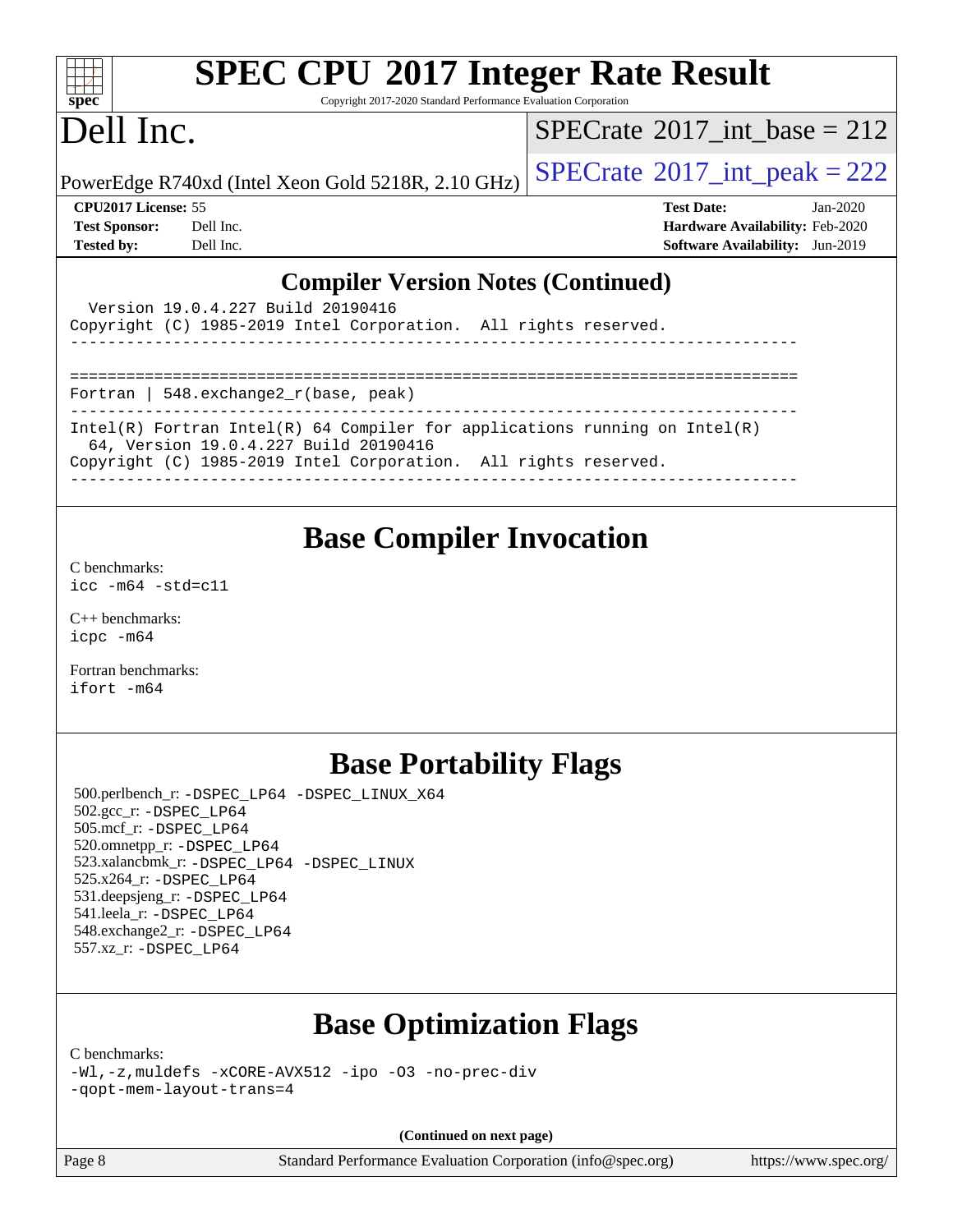| ч<br>e<br>L<br>Q |  |  |  |  |  |  |
|------------------|--|--|--|--|--|--|

# **[SPEC CPU](http://www.spec.org/auto/cpu2017/Docs/result-fields.html#SPECCPU2017IntegerRateResult)[2017 Integer Rate Result](http://www.spec.org/auto/cpu2017/Docs/result-fields.html#SPECCPU2017IntegerRateResult)**

Copyright 2017-2020 Standard Performance Evaluation Corporation

## Dell Inc.

 $SPECTate@2017_int\_base = 212$ 

PowerEdge R740xd (Intel Xeon Gold 5218R, 2.10 GHz)  $\left|$  [SPECrate](http://www.spec.org/auto/cpu2017/Docs/result-fields.html#SPECrate2017intpeak)<sup>®</sup>[2017\\_int\\_peak = 2](http://www.spec.org/auto/cpu2017/Docs/result-fields.html#SPECrate2017intpeak)22

| <b>CPU2017 License: 55</b> |  |
|----------------------------|--|

**[CPU2017 License:](http://www.spec.org/auto/cpu2017/Docs/result-fields.html#CPU2017License)** 55 **[Test Date:](http://www.spec.org/auto/cpu2017/Docs/result-fields.html#TestDate)** Jan-2020 **[Test Sponsor:](http://www.spec.org/auto/cpu2017/Docs/result-fields.html#TestSponsor)** Dell Inc. **[Hardware Availability:](http://www.spec.org/auto/cpu2017/Docs/result-fields.html#HardwareAvailability)** Feb-2020 **[Tested by:](http://www.spec.org/auto/cpu2017/Docs/result-fields.html#Testedby)** Dell Inc. **[Software Availability:](http://www.spec.org/auto/cpu2017/Docs/result-fields.html#SoftwareAvailability)** Jun-2019

#### **[Compiler Version Notes \(Continued\)](http://www.spec.org/auto/cpu2017/Docs/result-fields.html#CompilerVersionNotes)**

| Version 19.0.4.227 Build 20190416<br>Copyright (C) 1985-2019 Intel Corporation. All rights reserved.                |  |
|---------------------------------------------------------------------------------------------------------------------|--|
|                                                                                                                     |  |
| Fortran   548. $exchange2 r(base, peak)$                                                                            |  |
| Intel(R) Fortran Intel(R) 64 Compiler for applications running on Intel(R)<br>64, Version 19.0.4.227 Build 20190416 |  |
| Copyright (C) 1985-2019 Intel Corporation. All rights reserved.                                                     |  |

#### **[Base Compiler Invocation](http://www.spec.org/auto/cpu2017/Docs/result-fields.html#BaseCompilerInvocation)**

[C benchmarks](http://www.spec.org/auto/cpu2017/Docs/result-fields.html#Cbenchmarks): [icc -m64 -std=c11](http://www.spec.org/cpu2017/results/res2020q1/cpu2017-20200203-20827.flags.html#user_CCbase_intel_icc_64bit_c11_33ee0cdaae7deeeab2a9725423ba97205ce30f63b9926c2519791662299b76a0318f32ddfffdc46587804de3178b4f9328c46fa7c2b0cd779d7a61945c91cd35)

[C++ benchmarks:](http://www.spec.org/auto/cpu2017/Docs/result-fields.html#CXXbenchmarks) [icpc -m64](http://www.spec.org/cpu2017/results/res2020q1/cpu2017-20200203-20827.flags.html#user_CXXbase_intel_icpc_64bit_4ecb2543ae3f1412ef961e0650ca070fec7b7afdcd6ed48761b84423119d1bf6bdf5cad15b44d48e7256388bc77273b966e5eb805aefd121eb22e9299b2ec9d9)

[Fortran benchmarks](http://www.spec.org/auto/cpu2017/Docs/result-fields.html#Fortranbenchmarks): [ifort -m64](http://www.spec.org/cpu2017/results/res2020q1/cpu2017-20200203-20827.flags.html#user_FCbase_intel_ifort_64bit_24f2bb282fbaeffd6157abe4f878425411749daecae9a33200eee2bee2fe76f3b89351d69a8130dd5949958ce389cf37ff59a95e7a40d588e8d3a57e0c3fd751)

### **[Base Portability Flags](http://www.spec.org/auto/cpu2017/Docs/result-fields.html#BasePortabilityFlags)**

 500.perlbench\_r: [-DSPEC\\_LP64](http://www.spec.org/cpu2017/results/res2020q1/cpu2017-20200203-20827.flags.html#b500.perlbench_r_basePORTABILITY_DSPEC_LP64) [-DSPEC\\_LINUX\\_X64](http://www.spec.org/cpu2017/results/res2020q1/cpu2017-20200203-20827.flags.html#b500.perlbench_r_baseCPORTABILITY_DSPEC_LINUX_X64) 502.gcc\_r: [-DSPEC\\_LP64](http://www.spec.org/cpu2017/results/res2020q1/cpu2017-20200203-20827.flags.html#suite_basePORTABILITY502_gcc_r_DSPEC_LP64) 505.mcf\_r: [-DSPEC\\_LP64](http://www.spec.org/cpu2017/results/res2020q1/cpu2017-20200203-20827.flags.html#suite_basePORTABILITY505_mcf_r_DSPEC_LP64) 520.omnetpp\_r: [-DSPEC\\_LP64](http://www.spec.org/cpu2017/results/res2020q1/cpu2017-20200203-20827.flags.html#suite_basePORTABILITY520_omnetpp_r_DSPEC_LP64) 523.xalancbmk\_r: [-DSPEC\\_LP64](http://www.spec.org/cpu2017/results/res2020q1/cpu2017-20200203-20827.flags.html#suite_basePORTABILITY523_xalancbmk_r_DSPEC_LP64) [-DSPEC\\_LINUX](http://www.spec.org/cpu2017/results/res2020q1/cpu2017-20200203-20827.flags.html#b523.xalancbmk_r_baseCXXPORTABILITY_DSPEC_LINUX) 525.x264\_r: [-DSPEC\\_LP64](http://www.spec.org/cpu2017/results/res2020q1/cpu2017-20200203-20827.flags.html#suite_basePORTABILITY525_x264_r_DSPEC_LP64) 531.deepsjeng\_r: [-DSPEC\\_LP64](http://www.spec.org/cpu2017/results/res2020q1/cpu2017-20200203-20827.flags.html#suite_basePORTABILITY531_deepsjeng_r_DSPEC_LP64) 541.leela\_r: [-DSPEC\\_LP64](http://www.spec.org/cpu2017/results/res2020q1/cpu2017-20200203-20827.flags.html#suite_basePORTABILITY541_leela_r_DSPEC_LP64) 548.exchange2\_r: [-DSPEC\\_LP64](http://www.spec.org/cpu2017/results/res2020q1/cpu2017-20200203-20827.flags.html#suite_basePORTABILITY548_exchange2_r_DSPEC_LP64) 557.xz\_r: [-DSPEC\\_LP64](http://www.spec.org/cpu2017/results/res2020q1/cpu2017-20200203-20827.flags.html#suite_basePORTABILITY557_xz_r_DSPEC_LP64)

## **[Base Optimization Flags](http://www.spec.org/auto/cpu2017/Docs/result-fields.html#BaseOptimizationFlags)**

[C benchmarks](http://www.spec.org/auto/cpu2017/Docs/result-fields.html#Cbenchmarks): [-Wl,-z,muldefs](http://www.spec.org/cpu2017/results/res2020q1/cpu2017-20200203-20827.flags.html#user_CCbase_link_force_multiple1_b4cbdb97b34bdee9ceefcfe54f4c8ea74255f0b02a4b23e853cdb0e18eb4525ac79b5a88067c842dd0ee6996c24547a27a4b99331201badda8798ef8a743f577) [-xCORE-AVX512](http://www.spec.org/cpu2017/results/res2020q1/cpu2017-20200203-20827.flags.html#user_CCbase_f-xCORE-AVX512) [-ipo](http://www.spec.org/cpu2017/results/res2020q1/cpu2017-20200203-20827.flags.html#user_CCbase_f-ipo) [-O3](http://www.spec.org/cpu2017/results/res2020q1/cpu2017-20200203-20827.flags.html#user_CCbase_f-O3) [-no-prec-div](http://www.spec.org/cpu2017/results/res2020q1/cpu2017-20200203-20827.flags.html#user_CCbase_f-no-prec-div) [-qopt-mem-layout-trans=4](http://www.spec.org/cpu2017/results/res2020q1/cpu2017-20200203-20827.flags.html#user_CCbase_f-qopt-mem-layout-trans_fa39e755916c150a61361b7846f310bcdf6f04e385ef281cadf3647acec3f0ae266d1a1d22d972a7087a248fd4e6ca390a3634700869573d231a252c784941a8)

**(Continued on next page)**

Page 8 Standard Performance Evaluation Corporation [\(info@spec.org\)](mailto:info@spec.org) <https://www.spec.org/>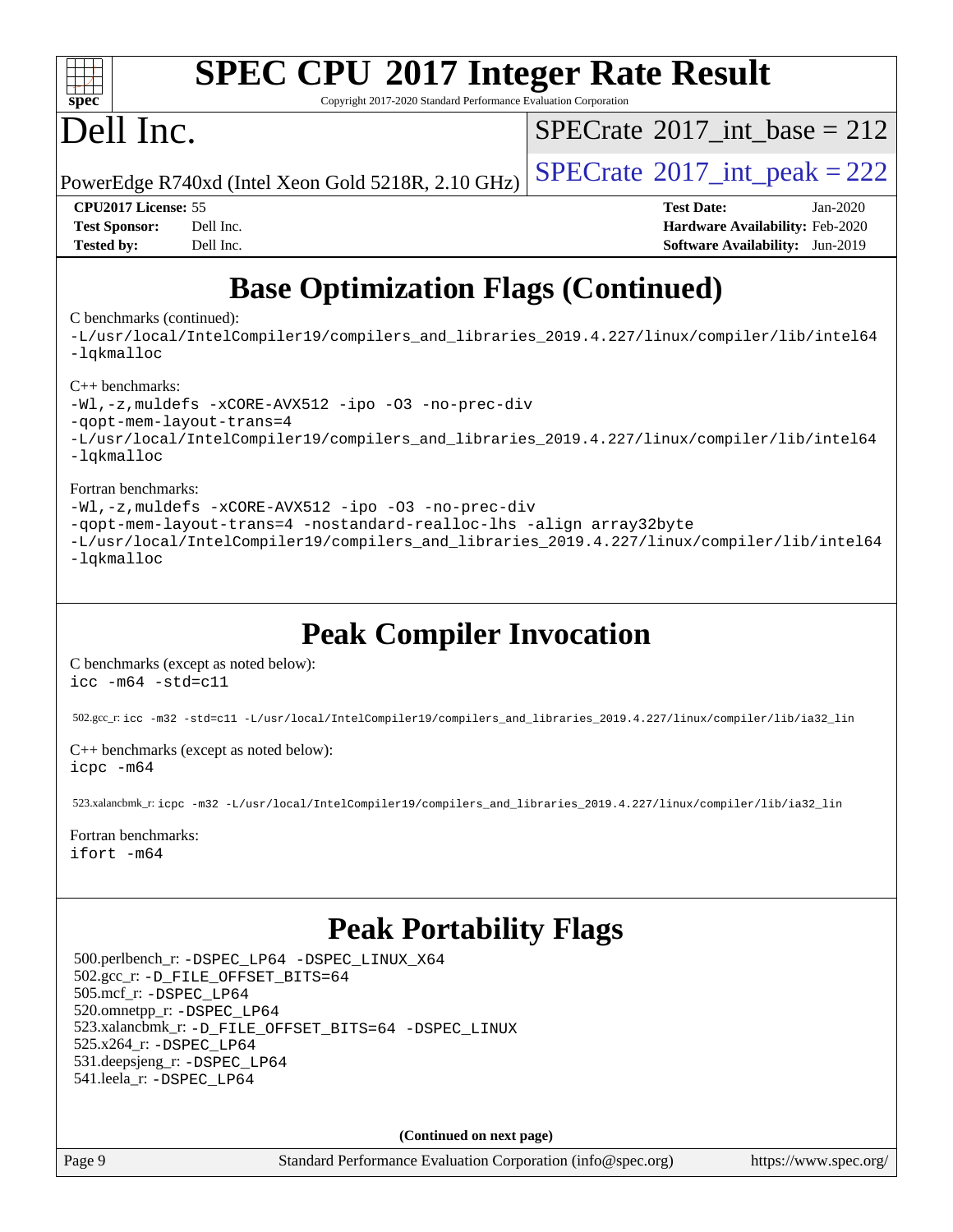

# **[SPEC CPU](http://www.spec.org/auto/cpu2017/Docs/result-fields.html#SPECCPU2017IntegerRateResult)[2017 Integer Rate Result](http://www.spec.org/auto/cpu2017/Docs/result-fields.html#SPECCPU2017IntegerRateResult)**

Copyright 2017-2020 Standard Performance Evaluation Corporation

# Dell Inc.

 $SPECTate@2017_int\_base = 212$ 

PowerEdge R740xd (Intel Xeon Gold 5218R, 2.10 GHz)  $\left|$  [SPECrate](http://www.spec.org/auto/cpu2017/Docs/result-fields.html#SPECrate2017intpeak)<sup>®</sup>[2017\\_int\\_peak = 2](http://www.spec.org/auto/cpu2017/Docs/result-fields.html#SPECrate2017intpeak)22

**[CPU2017 License:](http://www.spec.org/auto/cpu2017/Docs/result-fields.html#CPU2017License)** 55 **[Test Date:](http://www.spec.org/auto/cpu2017/Docs/result-fields.html#TestDate)** Jan-2020 **[Test Sponsor:](http://www.spec.org/auto/cpu2017/Docs/result-fields.html#TestSponsor)** Dell Inc. **[Hardware Availability:](http://www.spec.org/auto/cpu2017/Docs/result-fields.html#HardwareAvailability)** Feb-2020 **[Tested by:](http://www.spec.org/auto/cpu2017/Docs/result-fields.html#Testedby)** Dell Inc. **[Software Availability:](http://www.spec.org/auto/cpu2017/Docs/result-fields.html#SoftwareAvailability)** Jun-2019

# **[Base Optimization Flags \(Continued\)](http://www.spec.org/auto/cpu2017/Docs/result-fields.html#BaseOptimizationFlags)**

#### [C benchmarks](http://www.spec.org/auto/cpu2017/Docs/result-fields.html#Cbenchmarks) (continued):

[-L/usr/local/IntelCompiler19/compilers\\_and\\_libraries\\_2019.4.227/linux/compiler/lib/intel64](http://www.spec.org/cpu2017/results/res2020q1/cpu2017-20200203-20827.flags.html#user_CCbase_qkmalloc_link_0ffe0cb02c68ef1b443a077c7888c10c67ca0d1dd7138472156f06a085bbad385f78d49618ad55dca9db3b1608e84afc2f69b4003b1d1ca498a9fc1462ccefda) [-lqkmalloc](http://www.spec.org/cpu2017/results/res2020q1/cpu2017-20200203-20827.flags.html#user_CCbase_qkmalloc_link_lib_79a818439969f771c6bc311cfd333c00fc099dad35c030f5aab9dda831713d2015205805422f83de8875488a2991c0a156aaa600e1f9138f8fc37004abc96dc5)

#### [C++ benchmarks](http://www.spec.org/auto/cpu2017/Docs/result-fields.html#CXXbenchmarks):

[-Wl,-z,muldefs](http://www.spec.org/cpu2017/results/res2020q1/cpu2017-20200203-20827.flags.html#user_CXXbase_link_force_multiple1_b4cbdb97b34bdee9ceefcfe54f4c8ea74255f0b02a4b23e853cdb0e18eb4525ac79b5a88067c842dd0ee6996c24547a27a4b99331201badda8798ef8a743f577) [-xCORE-AVX512](http://www.spec.org/cpu2017/results/res2020q1/cpu2017-20200203-20827.flags.html#user_CXXbase_f-xCORE-AVX512) [-ipo](http://www.spec.org/cpu2017/results/res2020q1/cpu2017-20200203-20827.flags.html#user_CXXbase_f-ipo) [-O3](http://www.spec.org/cpu2017/results/res2020q1/cpu2017-20200203-20827.flags.html#user_CXXbase_f-O3) [-no-prec-div](http://www.spec.org/cpu2017/results/res2020q1/cpu2017-20200203-20827.flags.html#user_CXXbase_f-no-prec-div) [-qopt-mem-layout-trans=4](http://www.spec.org/cpu2017/results/res2020q1/cpu2017-20200203-20827.flags.html#user_CXXbase_f-qopt-mem-layout-trans_fa39e755916c150a61361b7846f310bcdf6f04e385ef281cadf3647acec3f0ae266d1a1d22d972a7087a248fd4e6ca390a3634700869573d231a252c784941a8) [-L/usr/local/IntelCompiler19/compilers\\_and\\_libraries\\_2019.4.227/linux/compiler/lib/intel64](http://www.spec.org/cpu2017/results/res2020q1/cpu2017-20200203-20827.flags.html#user_CXXbase_qkmalloc_link_0ffe0cb02c68ef1b443a077c7888c10c67ca0d1dd7138472156f06a085bbad385f78d49618ad55dca9db3b1608e84afc2f69b4003b1d1ca498a9fc1462ccefda) [-lqkmalloc](http://www.spec.org/cpu2017/results/res2020q1/cpu2017-20200203-20827.flags.html#user_CXXbase_qkmalloc_link_lib_79a818439969f771c6bc311cfd333c00fc099dad35c030f5aab9dda831713d2015205805422f83de8875488a2991c0a156aaa600e1f9138f8fc37004abc96dc5)

#### [Fortran benchmarks](http://www.spec.org/auto/cpu2017/Docs/result-fields.html#Fortranbenchmarks):

```
-Wl,-z,muldefs -xCORE-AVX512 -ipo -O3 -no-prec-div
-qopt-mem-layout-trans=4 -nostandard-realloc-lhs -align array32byte
-L/usr/local/IntelCompiler19/compilers_and_libraries_2019.4.227/linux/compiler/lib/intel64
-lqkmalloc
```
### **[Peak Compiler Invocation](http://www.spec.org/auto/cpu2017/Docs/result-fields.html#PeakCompilerInvocation)**

[C benchmarks \(except as noted below\)](http://www.spec.org/auto/cpu2017/Docs/result-fields.html#Cbenchmarksexceptasnotedbelow): [icc -m64 -std=c11](http://www.spec.org/cpu2017/results/res2020q1/cpu2017-20200203-20827.flags.html#user_CCpeak_intel_icc_64bit_c11_33ee0cdaae7deeeab2a9725423ba97205ce30f63b9926c2519791662299b76a0318f32ddfffdc46587804de3178b4f9328c46fa7c2b0cd779d7a61945c91cd35)

502.gcc\_r: [icc -m32 -std=c11 -L/usr/local/IntelCompiler19/compilers\\_and\\_libraries\\_2019.4.227/linux/compiler/lib/ia32\\_lin](http://www.spec.org/cpu2017/results/res2020q1/cpu2017-20200203-20827.flags.html#user_peakCCLD502_gcc_r_intel_icc_38a193a897536fa645efb1dc6ac2bea2bddbbe56f130e144a606d1b2649003f27c79f8814020c1f9355cbbf0d7ab0d194a7a979ee1e2a95641bbb8cf571aac7b)

[C++ benchmarks \(except as noted below\)](http://www.spec.org/auto/cpu2017/Docs/result-fields.html#CXXbenchmarksexceptasnotedbelow): [icpc -m64](http://www.spec.org/cpu2017/results/res2020q1/cpu2017-20200203-20827.flags.html#user_CXXpeak_intel_icpc_64bit_4ecb2543ae3f1412ef961e0650ca070fec7b7afdcd6ed48761b84423119d1bf6bdf5cad15b44d48e7256388bc77273b966e5eb805aefd121eb22e9299b2ec9d9)

523.xalancbmk\_r: [icpc -m32 -L/usr/local/IntelCompiler19/compilers\\_and\\_libraries\\_2019.4.227/linux/compiler/lib/ia32\\_lin](http://www.spec.org/cpu2017/results/res2020q1/cpu2017-20200203-20827.flags.html#user_peakCXXLD523_xalancbmk_r_intel_icpc_840f965b38320ad10acba6032d6ca4c816e722c432c250f3408feae347068ba449f694544a48cf12cd3bde3495e328e6747ab0f629c2925d3062e2ee144af951)

[Fortran benchmarks](http://www.spec.org/auto/cpu2017/Docs/result-fields.html#Fortranbenchmarks): [ifort -m64](http://www.spec.org/cpu2017/results/res2020q1/cpu2017-20200203-20827.flags.html#user_FCpeak_intel_ifort_64bit_24f2bb282fbaeffd6157abe4f878425411749daecae9a33200eee2bee2fe76f3b89351d69a8130dd5949958ce389cf37ff59a95e7a40d588e8d3a57e0c3fd751)

### **[Peak Portability Flags](http://www.spec.org/auto/cpu2017/Docs/result-fields.html#PeakPortabilityFlags)**

 500.perlbench\_r: [-DSPEC\\_LP64](http://www.spec.org/cpu2017/results/res2020q1/cpu2017-20200203-20827.flags.html#b500.perlbench_r_peakPORTABILITY_DSPEC_LP64) [-DSPEC\\_LINUX\\_X64](http://www.spec.org/cpu2017/results/res2020q1/cpu2017-20200203-20827.flags.html#b500.perlbench_r_peakCPORTABILITY_DSPEC_LINUX_X64) 502.gcc\_r: [-D\\_FILE\\_OFFSET\\_BITS=64](http://www.spec.org/cpu2017/results/res2020q1/cpu2017-20200203-20827.flags.html#user_peakPORTABILITY502_gcc_r_file_offset_bits_64_5ae949a99b284ddf4e95728d47cb0843d81b2eb0e18bdfe74bbf0f61d0b064f4bda2f10ea5eb90e1dcab0e84dbc592acfc5018bc955c18609f94ddb8d550002c) 505.mcf\_r: [-DSPEC\\_LP64](http://www.spec.org/cpu2017/results/res2020q1/cpu2017-20200203-20827.flags.html#suite_peakPORTABILITY505_mcf_r_DSPEC_LP64) 520.omnetpp\_r: [-DSPEC\\_LP64](http://www.spec.org/cpu2017/results/res2020q1/cpu2017-20200203-20827.flags.html#suite_peakPORTABILITY520_omnetpp_r_DSPEC_LP64) 523.xalancbmk\_r: [-D\\_FILE\\_OFFSET\\_BITS=64](http://www.spec.org/cpu2017/results/res2020q1/cpu2017-20200203-20827.flags.html#user_peakPORTABILITY523_xalancbmk_r_file_offset_bits_64_5ae949a99b284ddf4e95728d47cb0843d81b2eb0e18bdfe74bbf0f61d0b064f4bda2f10ea5eb90e1dcab0e84dbc592acfc5018bc955c18609f94ddb8d550002c) [-DSPEC\\_LINUX](http://www.spec.org/cpu2017/results/res2020q1/cpu2017-20200203-20827.flags.html#b523.xalancbmk_r_peakCXXPORTABILITY_DSPEC_LINUX) 525.x264\_r: [-DSPEC\\_LP64](http://www.spec.org/cpu2017/results/res2020q1/cpu2017-20200203-20827.flags.html#suite_peakPORTABILITY525_x264_r_DSPEC_LP64) 531.deepsjeng\_r: [-DSPEC\\_LP64](http://www.spec.org/cpu2017/results/res2020q1/cpu2017-20200203-20827.flags.html#suite_peakPORTABILITY531_deepsjeng_r_DSPEC_LP64) 541.leela\_r: [-DSPEC\\_LP64](http://www.spec.org/cpu2017/results/res2020q1/cpu2017-20200203-20827.flags.html#suite_peakPORTABILITY541_leela_r_DSPEC_LP64)

**(Continued on next page)**

Page 9 Standard Performance Evaluation Corporation [\(info@spec.org\)](mailto:info@spec.org) <https://www.spec.org/>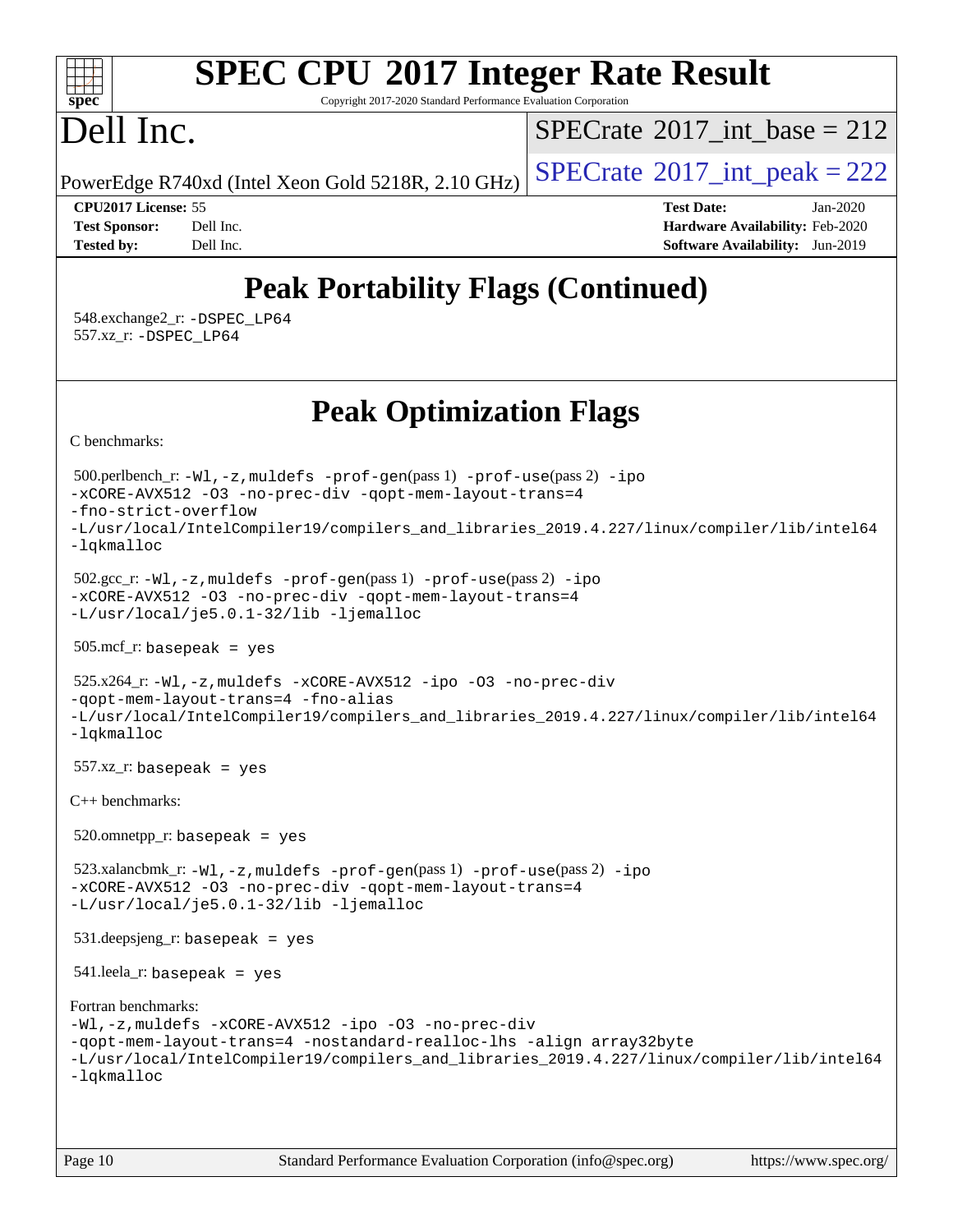#### $+\ +$ **[spec](http://www.spec.org/)**

# **[SPEC CPU](http://www.spec.org/auto/cpu2017/Docs/result-fields.html#SPECCPU2017IntegerRateResult)[2017 Integer Rate Result](http://www.spec.org/auto/cpu2017/Docs/result-fields.html#SPECCPU2017IntegerRateResult)**

Copyright 2017-2020 Standard Performance Evaluation Corporation

# Dell Inc.

 $SPECTate@2017_int\_base = 212$ 

PowerEdge R740xd (Intel Xeon Gold 5218R, 2.10 GHz)  $\left|$  [SPECrate](http://www.spec.org/auto/cpu2017/Docs/result-fields.html#SPECrate2017intpeak)®[2017\\_int\\_peak = 2](http://www.spec.org/auto/cpu2017/Docs/result-fields.html#SPECrate2017intpeak)22

**[CPU2017 License:](http://www.spec.org/auto/cpu2017/Docs/result-fields.html#CPU2017License)** 55 **[Test Date:](http://www.spec.org/auto/cpu2017/Docs/result-fields.html#TestDate)** Jan-2020 **[Test Sponsor:](http://www.spec.org/auto/cpu2017/Docs/result-fields.html#TestSponsor)** Dell Inc. **[Hardware Availability:](http://www.spec.org/auto/cpu2017/Docs/result-fields.html#HardwareAvailability)** Feb-2020 **[Tested by:](http://www.spec.org/auto/cpu2017/Docs/result-fields.html#Testedby)** Dell Inc. **[Software Availability:](http://www.spec.org/auto/cpu2017/Docs/result-fields.html#SoftwareAvailability)** Jun-2019

## **[Peak Portability Flags \(Continued\)](http://www.spec.org/auto/cpu2017/Docs/result-fields.html#PeakPortabilityFlags)**

 548.exchange2\_r: [-DSPEC\\_LP64](http://www.spec.org/cpu2017/results/res2020q1/cpu2017-20200203-20827.flags.html#suite_peakPORTABILITY548_exchange2_r_DSPEC_LP64) 557.xz\_r: [-DSPEC\\_LP64](http://www.spec.org/cpu2017/results/res2020q1/cpu2017-20200203-20827.flags.html#suite_peakPORTABILITY557_xz_r_DSPEC_LP64)

**[Peak Optimization Flags](http://www.spec.org/auto/cpu2017/Docs/result-fields.html#PeakOptimizationFlags)**

[C benchmarks](http://www.spec.org/auto/cpu2017/Docs/result-fields.html#Cbenchmarks):

```
 500.perlbench_r: -Wl,-z,muldefs -prof-gen(pass 1) -prof-use(pass 2) -ipo
-xCORE-AVX512 -O3 -no-prec-div -qopt-mem-layout-trans=4
-fno-strict-overflow
-L/usr/local/IntelCompiler19/compilers_and_libraries_2019.4.227/linux/compiler/lib/intel64
-lqkmalloc
 502.gcc_r: -Wl,-z,muldefs -prof-gen(pass 1) -prof-use(pass 2) -ipo
-xCORE-AVX512 -O3 -no-prec-div -qopt-mem-layout-trans=4
-L/usr/local/je5.0.1-32/lib -ljemalloc
 505.mcf_r: basepeak = yes
 525.x264_r: -Wl,-z,muldefs -xCORE-AVX512 -ipo -O3 -no-prec-div
-qopt-mem-layout-trans=4 -fno-alias
-L/usr/local/IntelCompiler19/compilers_and_libraries_2019.4.227/linux/compiler/lib/intel64
-lqkmalloc
 557.xz_r: basepeak = yes
C++ benchmarks: 
 520.omnetpp_r: basepeak = yes
 523.xalancbmk_r: -Wl,-z,muldefs -prof-gen(pass 1) -prof-use(pass 2) -ipo
-xCORE-AVX512 -O3 -no-prec-div -qopt-mem-layout-trans=4
-L/usr/local/je5.0.1-32/lib -ljemalloc
 531.deepsjeng_r: basepeak = yes
 541.leela_r: basepeak = yes
Fortran benchmarks: 
-Wl,-z,muldefs -xCORE-AVX512 -ipo -O3 -no-prec-div
-qopt-mem-layout-trans=4 -nostandard-realloc-lhs -align array32byte
-L/usr/local/IntelCompiler19/compilers_and_libraries_2019.4.227/linux/compiler/lib/intel64
-lqkmalloc
```